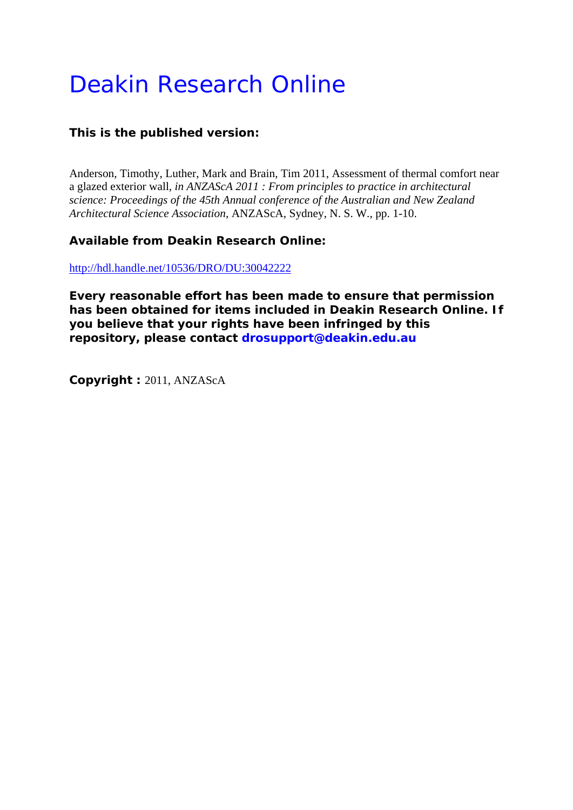# Deakin Research Online

## **This is the published version:**

Anderson, Timothy, Luther, Mark and Brain, Tim 2011, Assessment of thermal comfort near a glazed exterior wall*, in ANZAScA 2011 : From principles to practice in architectural science: Proceedings of the 45th Annual conference of the Australian and New Zealand Architectural Science Association*, ANZAScA, Sydney, N. S. W., pp. 1-10.

### **Available from Deakin Research Online:**

http://hdl.handle.net/10536/DRO/DU:30042222

**Every reasonable effort has been made to ensure that permission has been obtained for items included in Deakin Research Online. If you believe that your rights have been infringed by this repository, please contact drosupport@deakin.edu.au**

**Copyright :** 2011, ANZAScA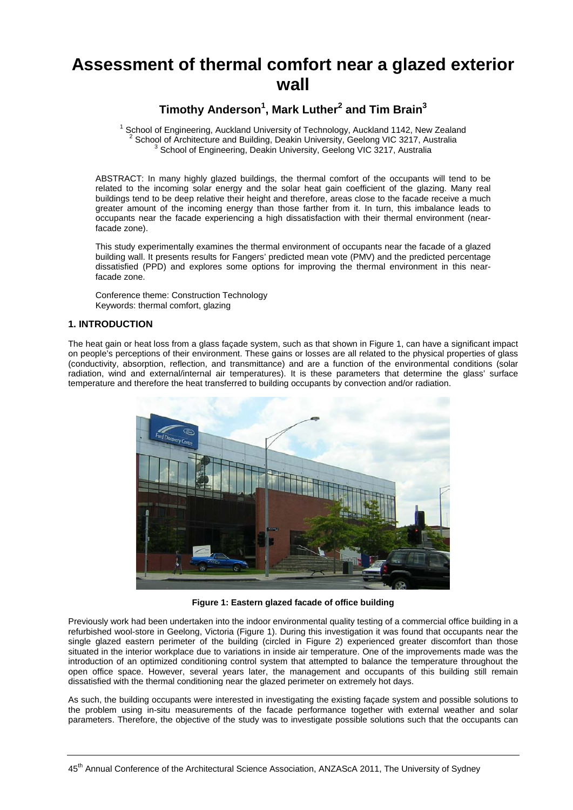# **Assessment of thermal comfort near a glazed exterior wall**

# **Timothy Anderson1 , Mark Luther<sup>2</sup> and Tim Brain3**

 $1$  School of Engineering, Auckland University of Technology, Auckland 1142, New Zealand <sup>2</sup> School of Architecture and Building, Deakin University, Geelong VIC 3217, Australia<br><sup>3</sup> School of Engineering, Deakin University, Geelong VIC 3217, Australia

ABSTRACT: In many highly glazed buildings, the thermal comfort of the occupants will tend to be related to the incoming solar energy and the solar heat gain coefficient of the glazing. Many real buildings tend to be deep relative their height and therefore, areas close to the facade receive a much greater amount of the incoming energy than those farther from it. In turn, this imbalance leads to occupants near the facade experiencing a high dissatisfaction with their thermal environment (nearfacade zone).

This study experimentally examines the thermal environment of occupants near the facade of a glazed building wall. It presents results for Fangers' predicted mean vote (PMV) and the predicted percentage dissatisfied (PPD) and explores some options for improving the thermal environment in this nearfacade zone.

Conference theme: Construction Technology Keywords: thermal comfort, glazing

#### **1. INTRODUCTION**

The heat gain or heat loss from a glass façade system, such as that shown in Figure 1, can have a significant impact on people's perceptions of their environment. These gains or losses are all related to the physical properties of glass (conductivity, absorption, reflection, and transmittance) and are a function of the environmental conditions (solar radiation, wind and external/internal air temperatures). It is these parameters that determine the glass' surface temperature and therefore the heat transferred to building occupants by convection and/or radiation.



**Figure 1: Eastern glazed facade of office building**

Previously work had been undertaken into the indoor environmental quality testing of a commercial office building in a refurbished wool-store in Geelong, Victoria (Figure 1). During this investigation it was found that occupants near the single glazed eastern perimeter of the building (circled in Figure 2) experienced greater discomfort than those situated in the interior workplace due to variations in inside air temperature. One of the improvements made was the introduction of an optimized conditioning control system that attempted to balance the temperature throughout the open office space. However, several years later, the management and occupants of this building still remain dissatisfied with the thermal conditioning near the glazed perimeter on extremely hot days.

As such, the building occupants were interested in investigating the existing façade system and possible solutions to the problem using in-situ measurements of the facade performance together with external weather and solar parameters. Therefore, the objective of the study was to investigate possible solutions such that the occupants can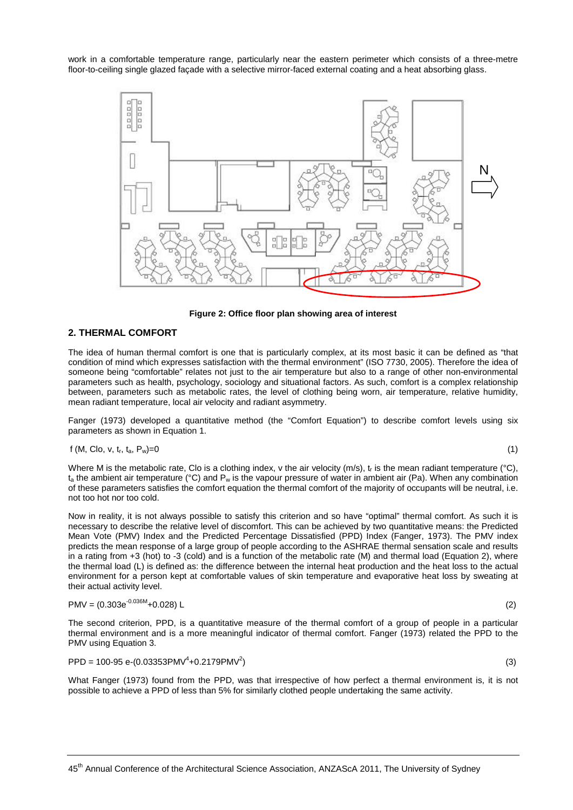work in a comfortable temperature range, particularly near the eastern perimeter which consists of a three-metre floor-to-ceiling single glazed façade with a selective mirror-faced external coating and a heat absorbing glass.



**Figure 2: Office floor plan showing area of interest**

#### **2. THERMAL COMFORT**

The idea of human thermal comfort is one that is particularly complex, at its most basic it can be defined as "that condition of mind which expresses satisfaction with the thermal environment" (ISO 7730, 2005). Therefore the idea of someone being "comfortable" relates not just to the air temperature but also to a range of other non-environmental parameters such as health, psychology, sociology and situational factors. As such, comfort is a complex relationship between, parameters such as metabolic rates, the level of clothing being worn, air temperature, relative humidity, mean radiant temperature, local air velocity and radiant asymmetry.

Fanger (1973) developed a quantitative method (the "Comfort Equation") to describe comfort levels using six parameters as shown in Equation 1.

$$
f(M, Clo, v, t_r, t_a, P_w) = 0 \tag{1}
$$

Where M is the metabolic rate, Clo is a clothing index, v the air velocity (m/s),  $t_r$  is the mean radiant temperature (°C),  $t_a$  the ambient air temperature (°C) and  $P_w$  is the vapour pressure of water in ambient air (Pa). When any combination of these parameters satisfies the comfort equation the thermal comfort of the majority of occupants will be neutral, i.e. not too hot nor too cold.

Now in reality, it is not always possible to satisfy this criterion and so have "optimal" thermal comfort. As such it is necessary to describe the relative level of discomfort. This can be achieved by two quantitative means: the Predicted Mean Vote (PMV) Index and the Predicted Percentage Dissatisfied (PPD) Index (Fanger, 1973). The PMV index predicts the mean response of a large group of people according to the ASHRAE thermal sensation scale and results in a rating from +3 (hot) to -3 (cold) and is a function of the metabolic rate (M) and thermal load (Equation 2), where the thermal load (L) is defined as: the difference between the internal heat production and the heat loss to the actual environment for a person kept at comfortable values of skin temperature and evaporative heat loss by sweating at their actual activity level.

$$
PMV = (0.303e^{-0.036M} + 0.028) L
$$
 (2)

The second criterion, PPD, is a quantitative measure of the thermal comfort of a group of people in a particular thermal environment and is a more meaningful indicator of thermal comfort. Fanger (1973) related the PPD to the PMV using Equation 3.

$$
PPD = 100-95 e-(0.03353PMV^{4}+0.2179PMV^{2})
$$
\n(3)

What Fanger (1973) found from the PPD, was that irrespective of how perfect a thermal environment is, it is not possible to achieve a PPD of less than 5% for similarly clothed people undertaking the same activity.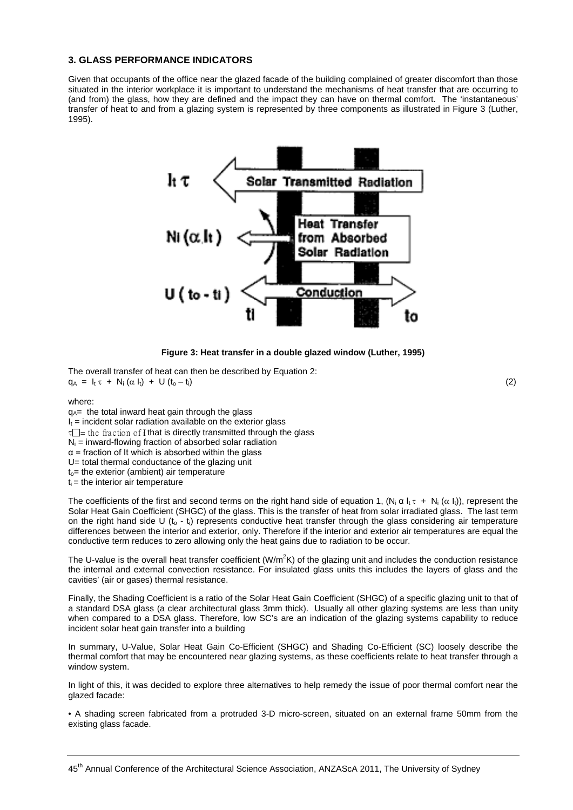#### **3. GLASS PERFORMANCE INDICATORS**

Given that occupants of the office near the glazed facade of the building complained of greater discomfort than those situated in the interior workplace it is important to understand the mechanisms of heat transfer that are occurring to (and from) the glass, how they are defined and the impact they can have on thermal comfort. The 'instantaneous' transfer of heat to and from a glazing system is represented by three components as illustrated in Figure 3 (Luther, 1995).



**Figure 3: Heat transfer in a double glazed window (Luther, 1995)**

The overall transfer of heat can then be described by Equation 2:  $q_A = I_t \tau + N_i (\alpha I_t) + U (t_0 - t_i)$  (2)

where:

 $q_A$ = the total inward heat gain through the glass  $I_t$  = incident solar radiation available on the exterior glass  $\tau$ = the fraction of I that is directly transmitted through the glass  $N_i$  = inward-flowing fraction of absorbed solar radiation  $\alpha$  = fraction of It which is absorbed within the glass U= total thermal conductance of the glazing unit  $t<sub>o</sub>$  = the exterior (ambient) air temperature  $t_i$  = the interior air temperature

The coefficients of the first and second terms on the right hand side of equation 1,  $(N_i \alpha I_i + N_i (\alpha I_i))$ , represent the Solar Heat Gain Coefficient (SHGC) of the glass. This is the transfer of heat from solar irradiated glass. The last term on the right hand side U ( $t_0$  -  $t_i$ ) represents conductive heat transfer through the glass considering air temperature differences between the interior and exterior, only. Therefore if the interior and exterior air temperatures are equal the conductive term reduces to zero allowing only the heat gains due to radiation to be occur.

The U-value is the overall heat transfer coefficient (W/m<sup>2</sup>K) of the glazing unit and includes the conduction resistance the internal and external convection resistance. For insulated glass units this includes the layers of glass and the cavities' (air or gases) thermal resistance.

Finally, the Shading Coefficient is a ratio of the Solar Heat Gain Coefficient (SHGC) of a specific glazing unit to that of a standard DSA glass (a clear architectural glass 3mm thick). Usually all other glazing systems are less than unity when compared to a DSA glass. Therefore, low SC's are an indication of the glazing systems capability to reduce incident solar heat gain transfer into a building

In summary, U-Value, Solar Heat Gain Co-Efficient (SHGC) and Shading Co-Efficient (SC) loosely describe the thermal comfort that may be encountered near glazing systems, as these coefficients relate to heat transfer through a window system.

In light of this, it was decided to explore three alternatives to help remedy the issue of poor thermal comfort near the glazed facade:

• A shading screen fabricated from a protruded 3-D micro-screen, situated on an external frame 50mm from the existing glass facade.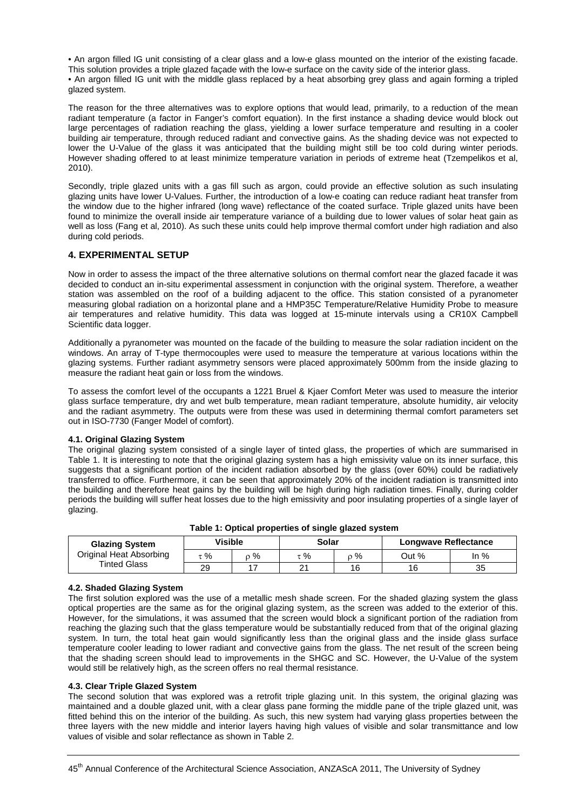• An argon filled IG unit consisting of a clear glass and a low-e glass mounted on the interior of the existing facade.

This solution provides a triple glazed façade with the low-e surface on the cavity side of the interior glass.

• An argon filled IG unit with the middle glass replaced by a heat absorbing grey glass and again forming a tripled glazed system.

The reason for the three alternatives was to explore options that would lead, primarily, to a reduction of the mean radiant temperature (a factor in Fanger's comfort equation). In the first instance a shading device would block out large percentages of radiation reaching the glass, yielding a lower surface temperature and resulting in a cooler building air temperature, through reduced radiant and convective gains. As the shading device was not expected to lower the U-Value of the glass it was anticipated that the building might still be too cold during winter periods. However shading offered to at least minimize temperature variation in periods of extreme heat (Tzempelikos et al, 2010).

Secondly, triple glazed units with a gas fill such as argon, could provide an effective solution as such insulating glazing units have lower U-Values. Further, the introduction of a low-e coating can reduce radiant heat transfer from the window due to the higher infrared (long wave) reflectance of the coated surface. Triple glazed units have been found to minimize the overall inside air temperature variance of a building due to lower values of solar heat gain as well as loss (Fang et al, 2010). As such these units could help improve thermal comfort under high radiation and also during cold periods.

#### **4. EXPERIMENTAL SETUP**

Now in order to assess the impact of the three alternative solutions on thermal comfort near the glazed facade it was decided to conduct an in-situ experimental assessment in conjunction with the original system. Therefore, a weather station was assembled on the roof of a building adjacent to the office. This station consisted of a pyranometer measuring global radiation on a horizontal plane and a HMP35C Temperature/Relative Humidity Probe to measure air temperatures and relative humidity. This data was logged at 15-minute intervals using a CR10X Campbell Scientific data logger.

Additionally a pyranometer was mounted on the facade of the building to measure the solar radiation incident on the windows. An array of T-type thermocouples were used to measure the temperature at various locations within the glazing systems. Further radiant asymmetry sensors were placed approximately 500mm from the inside glazing to measure the radiant heat gain or loss from the windows.

To assess the comfort level of the occupants a 1221 Bruel & Kjaer Comfort Meter was used to measure the interior glass surface temperature, dry and wet bulb temperature, mean radiant temperature, absolute humidity, air velocity and the radiant asymmetry. The outputs were from these was used in determining thermal comfort parameters set out in ISO-7730 (Fanger Model of comfort).

#### **4.1. Original Glazing System**

The original glazing system consisted of a single layer of tinted glass, the properties of which are summarised in Table 1. It is interesting to note that the original glazing system has a high emissivity value on its inner surface, this suggests that a significant portion of the incident radiation absorbed by the glass (over 60%) could be radiatively transferred to office. Furthermore, it can be seen that approximately 20% of the incident radiation is transmitted into the building and therefore heat gains by the building will be high during high radiation times. Finally, during colder periods the building will suffer heat losses due to the high emissivity and poor insulating properties of a single layer of glazing.

| <b>Glazing System</b>   | Visible |   | Solar |    | <b>Longwave Reflectance</b> |        |  |  |
|-------------------------|---------|---|-------|----|-----------------------------|--------|--|--|
| Original Heat Absorbing | τ %     | % | %     | 2% | Out %                       | In $%$ |  |  |
| <b>Tinted Glass</b>     | 29      |   |       | 16 | 16                          | 35     |  |  |

#### **Table 1: Optical properties of single glazed system**

#### **4.2. Shaded Glazing System**

The first solution explored was the use of a metallic mesh shade screen. For the shaded glazing system the glass optical properties are the same as for the original glazing system, as the screen was added to the exterior of this. However, for the simulations, it was assumed that the screen would block a significant portion of the radiation from reaching the glazing such that the glass temperature would be substantially reduced from that of the original glazing system. In turn, the total heat gain would significantly less than the original glass and the inside glass surface temperature cooler leading to lower radiant and convective gains from the glass. The net result of the screen being that the shading screen should lead to improvements in the SHGC and SC. However, the U-Value of the system would still be relatively high, as the screen offers no real thermal resistance.

#### **4.3. Clear Triple Glazed System**

The second solution that was explored was a retrofit triple glazing unit. In this system, the original glazing was maintained and a double glazed unit, with a clear glass pane forming the middle pane of the triple glazed unit, was fitted behind this on the interior of the building. As such, this new system had varying glass properties between the three layers with the new middle and interior layers having high values of visible and solar transmittance and low values of visible and solar reflectance as shown in Table 2.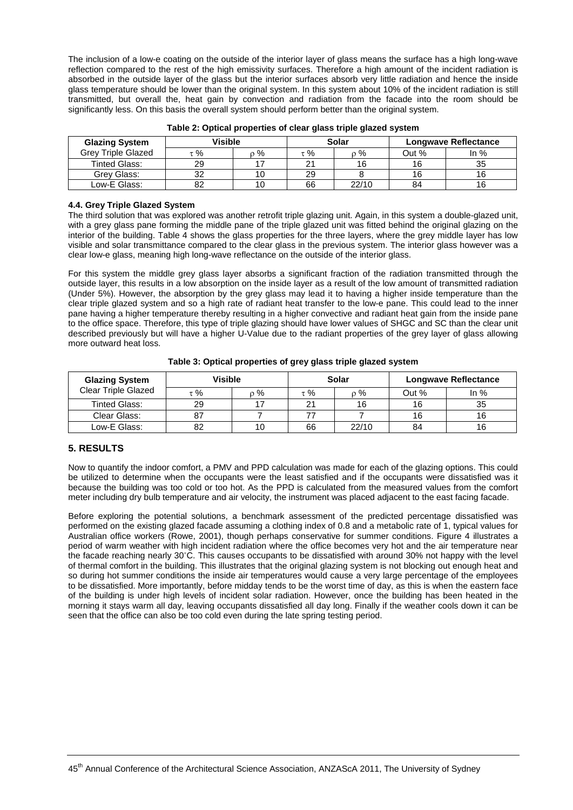The inclusion of a low-e coating on the outside of the interior layer of glass means the surface has a high long-wave reflection compared to the rest of the high emissivity surfaces. Therefore a high amount of the incident radiation is absorbed in the outside layer of the glass but the interior surfaces absorb very little radiation and hence the inside glass temperature should be lower than the original system. In this system about 10% of the incident radiation is still transmitted, but overall the, heat gain by convection and radiation from the facade into the room should be significantly less. On this basis the overall system should perform better than the original system.

| <b>Glazing System</b>     | Visible |    | Solar |       | <b>Longwave Reflectance</b> |        |
|---------------------------|---------|----|-------|-------|-----------------------------|--------|
| <b>Grey Triple Glazed</b> | %       | %  | τ %   | $\%$  | Out %                       | In $%$ |
| <b>Tinted Glass:</b>      | 29      |    | 21    | 16    | 16                          | 35     |
| Grev Glass:               | 32      | 10 | 29    |       | 16                          |        |
| Low-E Glass:              | 82      | 10 | 66    | 22/10 | 84                          |        |

#### **4.4. Grey Triple Glazed System**

The third solution that was explored was another retrofit triple glazing unit. Again, in this system a double-glazed unit, with a grey glass pane forming the middle pane of the triple glazed unit was fitted behind the original glazing on the interior of the building. Table 4 shows the glass properties for the three layers, where the grey middle layer has low visible and solar transmittance compared to the clear glass in the previous system. The interior glass however was a clear low-e glass, meaning high long-wave reflectance on the outside of the interior glass.

For this system the middle grey glass layer absorbs a significant fraction of the radiation transmitted through the outside layer, this results in a low absorption on the inside layer as a result of the low amount of transmitted radiation (Under 5%). However, the absorption by the grey glass may lead it to having a higher inside temperature than the clear triple glazed system and so a high rate of radiant heat transfer to the low-e pane. This could lead to the inner pane having a higher temperature thereby resulting in a higher convective and radiant heat gain from the inside pane to the office space. Therefore, this type of triple glazing should have lower values of SHGC and SC than the clear unit described previously but will have a higher U-Value due to the radiant properties of the grey layer of glass allowing more outward heat loss.

| <b>Glazing System</b>      | Visible |     | Solar    |       | <b>Longwave Reflectance</b> |        |
|----------------------------|---------|-----|----------|-------|-----------------------------|--------|
| <b>Clear Triple Glazed</b> | : %     | o % | $\tau$ % | $0\%$ | Out %                       | In $%$ |
| <b>Tinted Glass:</b>       | 29      |     | 21       | 16    | 16                          | 35     |
| Clear Glass:               | 87      |     |          |       | 16                          |        |
| Low-E Glass:               | 82      | 10  | 66       | 22/10 | 84                          |        |

**Table 3: Optical properties of grey glass triple glazed system**

#### **5. RESULTS**

Now to quantify the indoor comfort, a PMV and PPD calculation was made for each of the glazing options. This could be utilized to determine when the occupants were the least satisfied and if the occupants were dissatisfied was it because the building was too cold or too hot. As the PPD is calculated from the measured values from the comfort meter including dry bulb temperature and air velocity, the instrument was placed adjacent to the east facing facade.

Before exploring the potential solutions, a benchmark assessment of the predicted percentage dissatisfied was performed on the existing glazed facade assuming a clothing index of 0.8 and a metabolic rate of 1, typical values for Australian office workers (Rowe, 2001), though perhaps conservative for summer conditions. Figure 4 illustrates a period of warm weather with high incident radiation where the office becomes very hot and the air temperature near the facade reaching nearly 30˚C. This causes occupants to be dissatisfied with around 30% not happy with the level of thermal comfort in the building. This illustrates that the original glazing system is not blocking out enough heat and so during hot summer conditions the inside air temperatures would cause a very large percentage of the employees to be dissatisfied. More importantly, before midday tends to be the worst time of day, as this is when the eastern face of the building is under high levels of incident solar radiation. However, once the building has been heated in the morning it stays warm all day, leaving occupants dissatisfied all day long. Finally if the weather cools down it can be seen that the office can also be too cold even during the late spring testing period.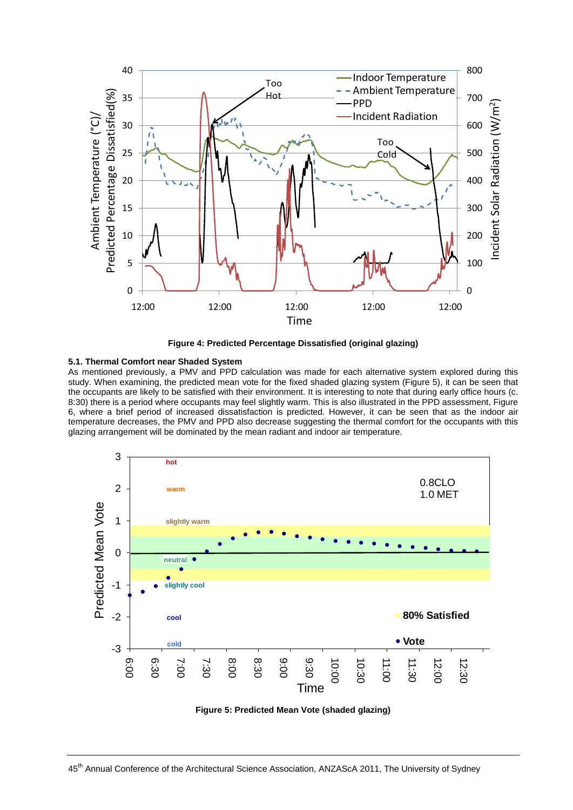

**Figure 4: Predicted Percentage Dissatisfied (original glazing)**

#### **5.1. Thermal Comfort near Shaded System**

As mentioned previously, a PMV and PPD calculation was made for each alternative system explored during this study. When examining, the predicted mean vote for the fixed shaded glazing system (Figure 5), it can be seen that the occupants are likely to be satisfied with their environment. It is interesting to note that during early office hours (c. 8:30) there is a period where occupants may feel slightly warm. This is also illustrated in the PPD assessment, Figure 6, where a brief period of increased dissatisfaction is predicted. However, it can be seen that as the indoor air temperature decreases, the PMV and PPD also decrease suggesting the thermal comfort for the occupants with this glazing arrangement will be dominated by the mean radiant and indoor air temperature.



**Figure 5: Predicted Mean Vote (shaded glazing)**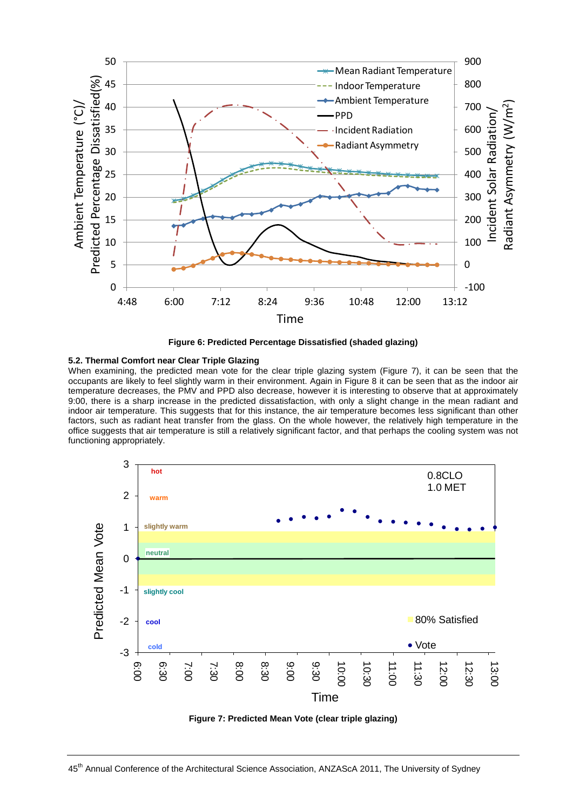

**Figure 6: Predicted Percentage Dissatisfied (shaded glazing)**

#### **5.2. Thermal Comfort near Clear Triple Glazing**

When examining, the predicted mean vote for the clear triple glazing system (Figure 7), it can be seen that the occupants are likely to feel slightly warm in their environment. Again in Figure 8 it can be seen that as the indoor air temperature decreases, the PMV and PPD also decrease, however it is interesting to observe that at approximately 9:00, there is a sharp increase in the predicted dissatisfaction, with only a slight change in the mean radiant and indoor air temperature. This suggests that for this instance, the air temperature becomes less significant than other factors, such as radiant heat transfer from the glass. On the whole however, the relatively high temperature in the office suggests that air temperature is still a relatively significant factor, and that perhaps the cooling system was not functioning appropriately.



**Figure 7: Predicted Mean Vote (clear triple glazing)**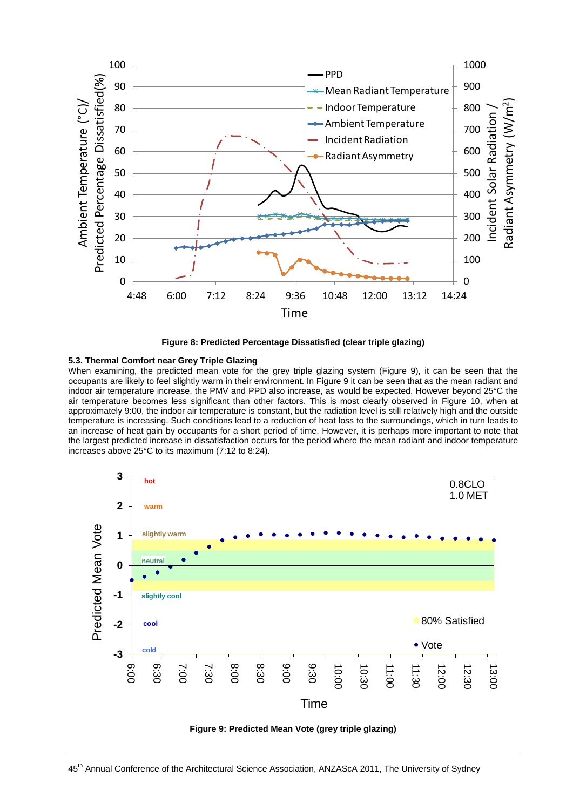

**Figure 8: Predicted Percentage Dissatisfied (clear triple glazing)**

#### **5.3. Thermal Comfort near Grey Triple Glazing**

When examining, the predicted mean vote for the grey triple glazing system (Figure 9), it can be seen that the occupants are likely to feel slightly warm in their environment. In Figure 9 it can be seen that as the mean radiant and indoor air temperature increase, the PMV and PPD also increase, as would be expected. However beyond 25°C the air temperature becomes less significant than other factors. This is most clearly observed in Figure 10, when at approximately 9:00, the indoor air temperature is constant, but the radiation level is still relatively high and the outside temperature is increasing. Such conditions lead to a reduction of heat loss to the surroundings, which in turn leads to an increase of heat gain by occupants for a short period of time. However, it is perhaps more important to note that the largest predicted increase in dissatisfaction occurs for the period where the mean radiant and indoor temperature increases above 25°C to its maximum (7:12 to 8:24).



**Figure 9: Predicted Mean Vote (grey triple glazing)**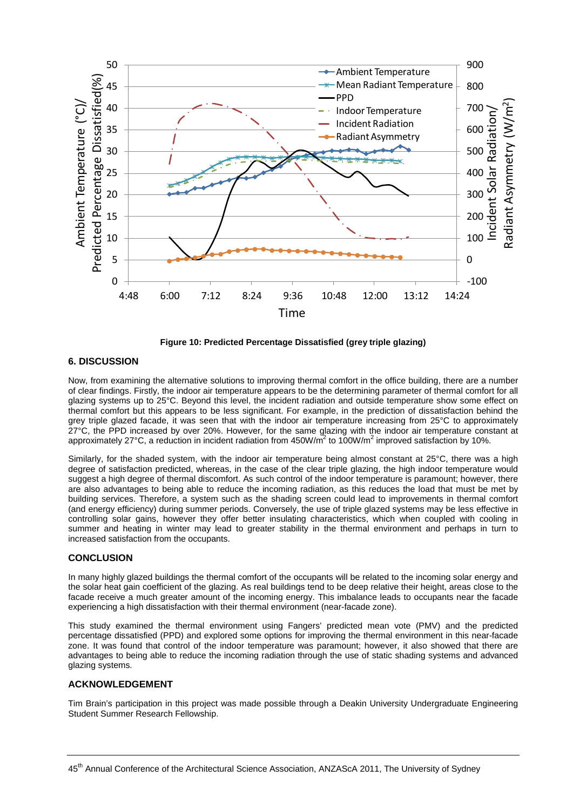

**Figure 10: Predicted Percentage Dissatisfied (grey triple glazing)**

#### **6. DISCUSSION**

Now, from examining the alternative solutions to improving thermal comfort in the office building, there are a number of clear findings. Firstly, the indoor air temperature appears to be the determining parameter of thermal comfort for all glazing systems up to 25°C. Beyond this level, the incident radiation and outside temperature show some effect on thermal comfort but this appears to be less significant. For example, in the prediction of dissatisfaction behind the grey triple glazed facade, it was seen that with the indoor air temperature increasing from 25°C to approximately 27°C, the PPD increased by over 20%. However, for the same glazing with the indoor air temperature constant at approximately 27°C, a reduction in incident radiation from  $450W/m^2$  to 100W/m<sup>2</sup> improved satisfaction by 10%.

Similarly, for the shaded system, with the indoor air temperature being almost constant at 25°C, there was a high degree of satisfaction predicted, whereas, in the case of the clear triple glazing, the high indoor temperature would suggest a high degree of thermal discomfort. As such control of the indoor temperature is paramount; however, there are also advantages to being able to reduce the incoming radiation, as this reduces the load that must be met by building services. Therefore, a system such as the shading screen could lead to improvements in thermal comfort (and energy efficiency) during summer periods. Conversely, the use of triple glazed systems may be less effective in controlling solar gains, however they offer better insulating characteristics, which when coupled with cooling in summer and heating in winter may lead to greater stability in the thermal environment and perhaps in turn to increased satisfaction from the occupants.

#### **CONCLUSION**

In many highly glazed buildings the thermal comfort of the occupants will be related to the incoming solar energy and the solar heat gain coefficient of the glazing. As real buildings tend to be deep relative their height, areas close to the facade receive a much greater amount of the incoming energy. This imbalance leads to occupants near the facade experiencing a high dissatisfaction with their thermal environment (near-facade zone).

This study examined the thermal environment using Fangers' predicted mean vote (PMV) and the predicted percentage dissatisfied (PPD) and explored some options for improving the thermal environment in this near-facade zone. It was found that control of the indoor temperature was paramount; however, it also showed that there are advantages to being able to reduce the incoming radiation through the use of static shading systems and advanced glazing systems.

#### **ACKNOWLEDGEMENT**

Tim Brain's participation in this project was made possible through a Deakin University Undergraduate Engineering Student Summer Research Fellowship.